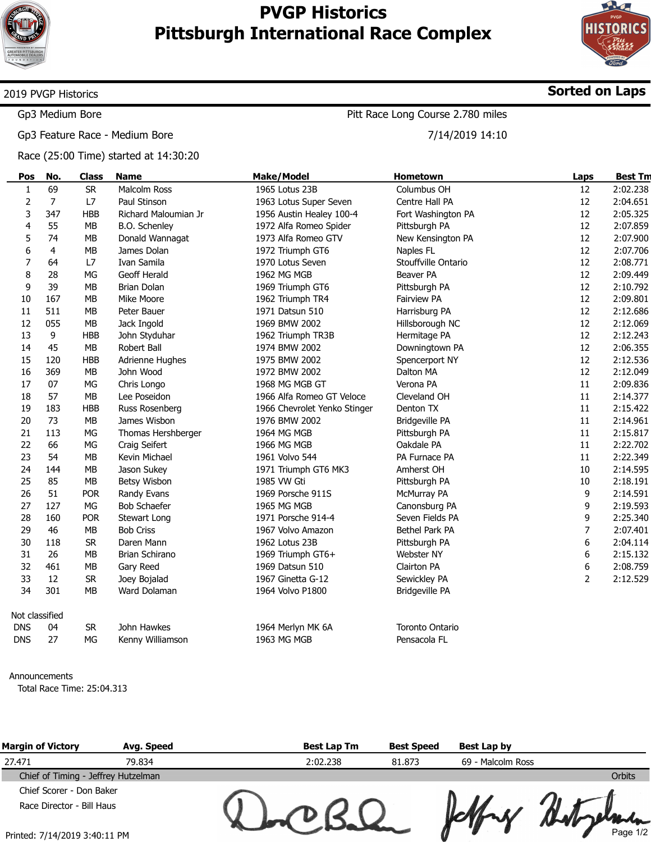

÷

# PVGP Historics Pittsburgh International Race Complex



Sorted on Laps

### 2019 PVGP Historics

Gp3 Medium Bore

Gp3 Feature Race - Medium Bore

Race (25:00 Time) started at 14:30:20

## Pitt Race Long Course 2.780 miles

7/14/2019 14:10

| Pos            | No. | <b>Class</b> | <b>Name</b>          | <b>Make/Model</b>            | Hometown              | Laps           | <b>Best Tm</b> |
|----------------|-----|--------------|----------------------|------------------------------|-----------------------|----------------|----------------|
| $\mathbf{1}$   | 69  | <b>SR</b>    | <b>Malcolm Ross</b>  | 1965 Lotus 23B               | Columbus OH           | 12             | 2:02.238       |
| $\mathbf 2$    | 7   | L7           | Paul Stinson         | 1963 Lotus Super Seven       | Centre Hall PA        | 12             | 2:04.651       |
| 3              | 347 | <b>HBB</b>   | Richard Maloumian Jr | 1956 Austin Healey 100-4     | Fort Washington PA    | 12             | 2:05.325       |
| 4              | 55  | <b>MB</b>    | B.O. Schenley        | 1972 Alfa Romeo Spider       | Pittsburgh PA         | 12             | 2:07.859       |
| 5              | 74  | MB           | Donald Wannagat      | 1973 Alfa Romeo GTV          | New Kensington PA     | 12             | 2:07.900       |
| 6              | 4   | MB           | James Dolan          | 1972 Triumph GT6             | Naples FL             | 12             | 2:07.706       |
| 7              | 64  | L7           | Ivan Samila          | 1970 Lotus Seven             | Stouffville Ontario   | 12             | 2:08.771       |
| $\bf 8$        | 28  | MG           | Geoff Herald         | 1962 MG MGB                  | Beaver PA             | 12             | 2:09.449       |
| 9              | 39  | <b>MB</b>    | <b>Brian Dolan</b>   | 1969 Triumph GT6             | Pittsburgh PA         | 12             | 2:10.792       |
| 10             | 167 | <b>MB</b>    | Mike Moore           | 1962 Triumph TR4             | Fairview PA           | 12             | 2:09.801       |
| 11             | 511 | <b>MB</b>    | Peter Bauer          | 1971 Datsun 510              | Harrisburg PA         | 12             | 2:12.686       |
| 12             | 055 | <b>MB</b>    | Jack Ingold          | 1969 BMW 2002                | Hillsborough NC       | 12             | 2:12.069       |
| 13             | 9   | <b>HBB</b>   | John Styduhar        | 1962 Triumph TR3B            | Hermitage PA          | 12             | 2:12.243       |
| 14             | 45  | MB           | Robert Ball          | 1974 BMW 2002                | Downingtown PA        | 12             | 2:06.355       |
| 15             | 120 | <b>HBB</b>   | Adrienne Hughes      | 1975 BMW 2002                | Spencerport NY        | 12             | 2:12.536       |
| 16             | 369 | <b>MB</b>    | John Wood            | 1972 BMW 2002                | Dalton MA             | 12             | 2:12.049       |
| 17             | 07  | MG           | Chris Longo          | 1968 MG MGB GT               | Verona PA             | 11             | 2:09.836       |
| 18             | 57  | <b>MB</b>    | Lee Poseidon         | 1966 Alfa Romeo GT Veloce    | Cleveland OH          | 11             | 2:14.377       |
| 19             | 183 | <b>HBB</b>   | Russ Rosenberg       | 1966 Chevrolet Yenko Stinger | Denton TX             | 11             | 2:15.422       |
| 20             | 73  | MB           | James Wisbon         | 1976 BMW 2002                | <b>Bridgeville PA</b> | 11             | 2:14.961       |
| 21             | 113 | MG           | Thomas Hershberger   | 1964 MG MGB                  | Pittsburgh PA         | 11             | 2:15.817       |
| 22             | 66  | <b>MG</b>    | Craig Seifert        | 1966 MG MGB                  | Oakdale PA            | 11             | 2:22.702       |
| 23             | 54  | MB           | Kevin Michael        | 1961 Volvo 544               | PA Furnace PA         | 11             | 2:22.349       |
| 24             | 144 | <b>MB</b>    | Jason Sukey          | 1971 Triumph GT6 MK3         | Amherst OH            | 10             | 2:14.595       |
| 25             | 85  | <b>MB</b>    | Betsy Wisbon         | 1985 VW Gti                  | Pittsburgh PA         | 10             | 2:18.191       |
| 26             | 51  | <b>POR</b>   | Randy Evans          | 1969 Porsche 911S            | McMurray PA           | 9              | 2:14.591       |
| 27             | 127 | MG           | <b>Bob Schaefer</b>  | 1965 MG MGB                  | Canonsburg PA         | 9              | 2:19.593       |
| 28             | 160 | <b>POR</b>   | Stewart Long         | 1971 Porsche 914-4           | Seven Fields PA       | 9              | 2:25.340       |
| 29             | 46  | <b>MB</b>    | <b>Bob Criss</b>     | 1967 Volvo Amazon            | Bethel Park PA        | 7              | 2:07.401       |
| 30             | 118 | <b>SR</b>    | Daren Mann           | 1962 Lotus 23B               | Pittsburgh PA         | 6              | 2:04.114       |
| 31             | 26  | <b>MB</b>    | Brian Schirano       | 1969 Triumph GT6+            | Webster NY            | 6              | 2:15.132       |
| 32             | 461 | <b>MB</b>    | Gary Reed            | 1969 Datsun 510              | Clairton PA           | 6              | 2:08.759       |
| 33             | 12  | <b>SR</b>    | Joey Bojalad         | 1967 Ginetta G-12            | Sewickley PA          | $\overline{2}$ | 2:12.529       |
| 34             | 301 | <b>MB</b>    | Ward Dolaman         | 1964 Volvo P1800             | Bridgeville PA        |                |                |
| Not classified |     |              |                      |                              |                       |                |                |
| <b>DNS</b>     | 04  | <b>SR</b>    | John Hawkes          | 1964 Merlyn MK 6A            | Toronto Ontario       |                |                |
| <b>DNS</b>     | 27  | MG           | Kenny Williamson     | 1963 MG MGB                  | Pensacola FL          |                |                |

#### Announcements

Total Race Time: 25:04.313

| <b>Margin of Victory</b>            | Avg. Speed | <b>Best Lap Tm</b> | <b>Best Speed</b> | Best Lap by       |          |
|-------------------------------------|------------|--------------------|-------------------|-------------------|----------|
| 27.471                              | 79.834     | 2:02.238           | 81.873            | 69 - Malcolm Ross |          |
| Chief of Timing - Jeffrey Hutzelman |            |                    |                   |                   | Orbits   |
| Chief Scorer - Don Baker            |            |                    |                   |                   |          |
| Race Director - Bill Haus           |            |                    |                   |                   |          |
| Printed: 7/14/2019 3:40:11 PM       |            |                    |                   |                   | Page 1/2 |